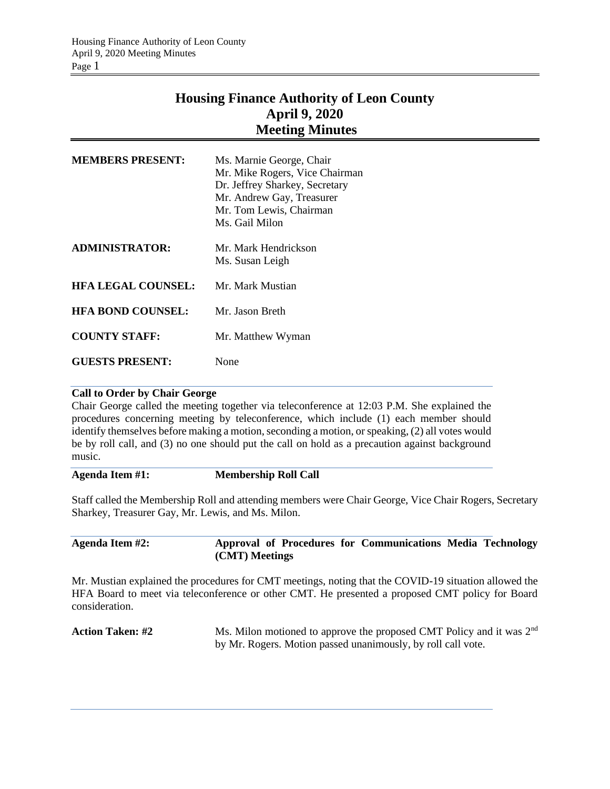# **Housing Finance Authority of Leon County April 9, 2020 Meeting Minutes**

| <b>MEMBERS PRESENT:</b>   | Ms. Marnie George, Chair<br>Mr. Mike Rogers, Vice Chairman<br>Dr. Jeffrey Sharkey, Secretary<br>Mr. Andrew Gay, Treasurer<br>Mr. Tom Lewis, Chairman<br>Ms. Gail Milon |
|---------------------------|------------------------------------------------------------------------------------------------------------------------------------------------------------------------|
| <b>ADMINISTRATOR:</b>     | Mr. Mark Hendrickson<br>Ms. Susan Leigh                                                                                                                                |
| <b>HFA LEGAL COUNSEL:</b> | Mr. Mark Mustian                                                                                                                                                       |
| <b>HFA BOND COUNSEL:</b>  | Mr. Jason Breth                                                                                                                                                        |
| <b>COUNTY STAFF:</b>      | Mr. Matthew Wyman                                                                                                                                                      |
| <b>GUESTS PRESENT:</b>    | None                                                                                                                                                                   |

#### **Call to Order by Chair George**

Chair George called the meeting together via teleconference at 12:03 P.M. She explained the procedures concerning meeting by teleconference, which include (1) each member should identify themselves before making a motion, seconding a motion, or speaking, (2) all votes would be by roll call, and (3) no one should put the call on hold as a precaution against background music.

#### **Agenda Item #1: Membership Roll Call**

Staff called the Membership Roll and attending members were Chair George, Vice Chair Rogers, Secretary Sharkey, Treasurer Gay, Mr. Lewis, and Ms. Milon.

### **Agenda Item #2: Approval of Procedures for Communications Media Technology (CMT) Meetings**

Mr. Mustian explained the procedures for CMT meetings, noting that the COVID-19 situation allowed the HFA Board to meet via teleconference or other CMT. He presented a proposed CMT policy for Board consideration.

**Action Taken: #2** Ms. Milon motioned to approve the proposed CMT Policy and it was 2<sup>nd</sup> by Mr. Rogers. Motion passed unanimously, by roll call vote.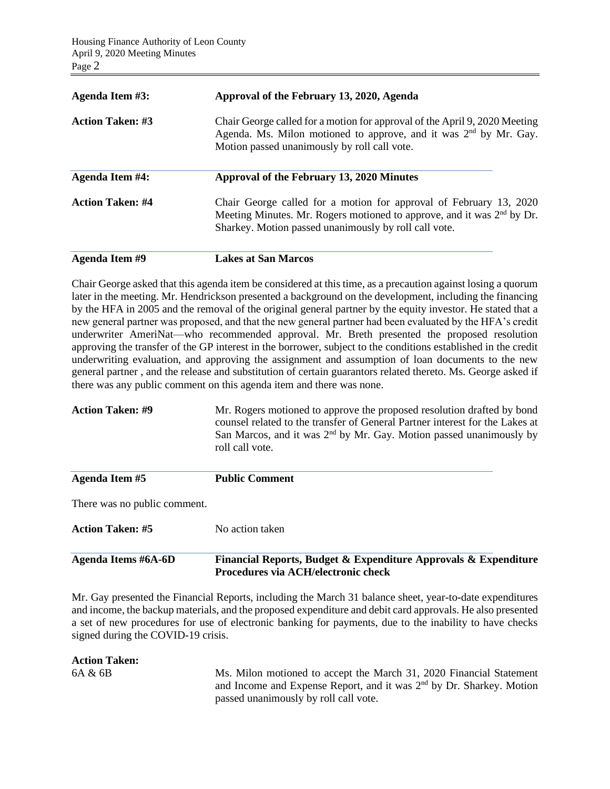| <b>Agenda Item #3:</b>  | Approval of the February 13, 2020, Agenda                                                                                                                                                                         |  |  |
|-------------------------|-------------------------------------------------------------------------------------------------------------------------------------------------------------------------------------------------------------------|--|--|
| <b>Action Taken: #3</b> | Chair George called for a motion for approval of the April 9, 2020 Meeting<br>Agenda. Ms. Milon motioned to approve, and it was $2nd$ by Mr. Gay.<br>Motion passed unanimously by roll call vote.                 |  |  |
| Agenda Item #4:         | Approval of the February 13, 2020 Minutes                                                                                                                                                                         |  |  |
| <b>Action Taken: #4</b> | Chair George called for a motion for approval of February 13, 2020<br>Meeting Minutes. Mr. Rogers motioned to approve, and it was 2 <sup>nd</sup> by Dr.<br>Sharkey. Motion passed unanimously by roll call vote. |  |  |

**Agenda Item #9 Lakes at San Marcos**

Chair George asked that this agenda item be considered at this time, as a precaution against losing a quorum later in the meeting. Mr. Hendrickson presented a background on the development, including the financing by the HFA in 2005 and the removal of the original general partner by the equity investor. He stated that a new general partner was proposed, and that the new general partner had been evaluated by the HFA's credit underwriter AmeriNat—who recommended approval. Mr. Breth presented the proposed resolution approving the transfer of the GP interest in the borrower, subject to the conditions established in the credit underwriting evaluation, and approving the assignment and assumption of loan documents to the new general partner , and the release and substitution of certain guarantors related thereto. Ms. George asked if there was any public comment on this agenda item and there was none.

**Action Taken: #9** Mr. Rogers motioned to approve the proposed resolution drafted by bond counsel related to the transfer of General Partner interest for the Lakes at San Marcos, and it was  $2<sup>nd</sup>$  by Mr. Gay. Motion passed unanimously by roll call vote.

| No action taken              |
|------------------------------|
| There was no public comment. |
| <b>Public Comment</b>        |
|                              |

Mr. Gay presented the Financial Reports, including the March 31 balance sheet, year-to-date expenditures and income, the backup materials, and the proposed expenditure and debit card approvals. He also presented a set of new procedures for use of electronic banking for payments, due to the inability to have checks signed during the COVID-19 crisis.

**Procedures via ACH/electronic check**

#### **Action Taken:**

6A & 6B Ms. Milon motioned to accept the March 31, 2020 Financial Statement and Income and Expense Report, and it was 2<sup>nd</sup> by Dr. Sharkey. Motion passed unanimously by roll call vote.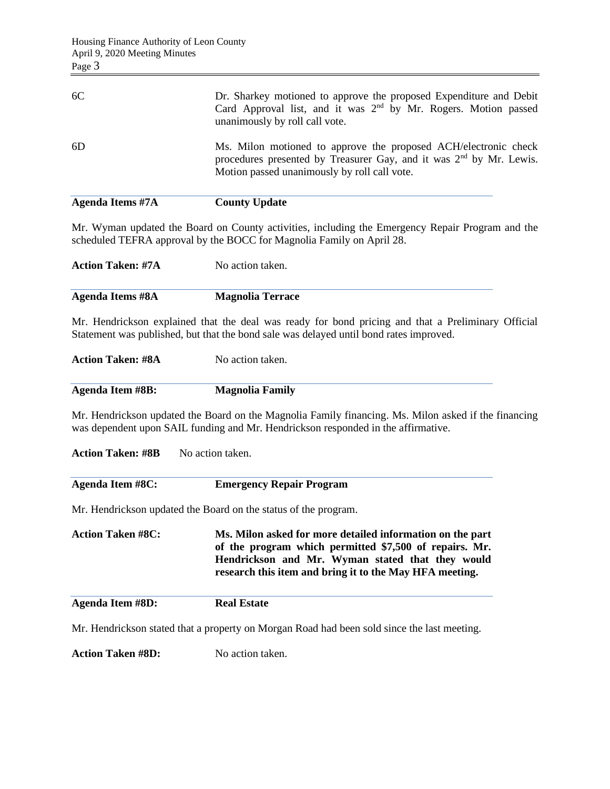| Page 3                   |                                                                                                                                                                                              |  |  |
|--------------------------|----------------------------------------------------------------------------------------------------------------------------------------------------------------------------------------------|--|--|
| 6C                       | Dr. Sharkey motioned to approve the proposed Expenditure and Debit<br>Card Approval list, and it was 2 <sup>nd</sup> by Mr. Rogers. Motion passed<br>unanimously by roll call vote.          |  |  |
| 6D                       | Ms. Milon motioned to approve the proposed ACH/electronic check<br>procedures presented by Treasurer Gay, and it was $2nd$ by Mr. Lewis.<br>Motion passed unanimously by roll call vote.     |  |  |
| <b>Agenda Items #7A</b>  | <b>County Update</b>                                                                                                                                                                         |  |  |
|                          | Mr. Wyman updated the Board on County activities, including the Emergency Repair Program and the<br>scheduled TEFRA approval by the BOCC for Magnolia Family on April 28.                    |  |  |
| <b>Action Taken: #7A</b> | No action taken.                                                                                                                                                                             |  |  |
| <b>Agenda Items #8A</b>  | <b>Magnolia Terrace</b>                                                                                                                                                                      |  |  |
|                          | Mr. Hendrickson explained that the deal was ready for bond pricing and that a Preliminary Official<br>Statement was published, but that the bond sale was delayed until bond rates improved. |  |  |
| <b>Action Taken: #8A</b> | No action taken.                                                                                                                                                                             |  |  |
| <b>Agenda Item #8B:</b>  | <b>Magnolia Family</b>                                                                                                                                                                       |  |  |
|                          | Mr. Hendrickson updated the Board on the Magnolia Family financing. Ms. Milon asked if the financing<br>was dependent upon SAIL funding and Mr. Hendrickson responded in the affirmative.    |  |  |
| <b>Action Taken: #8B</b> | No action taken.                                                                                                                                                                             |  |  |
| <b>Agenda Item #8C:</b>  | <b>Emergency Repair Program</b>                                                                                                                                                              |  |  |

Mr. Hendrickson updated the Board on the status of the program.

**Action Taken #8C: Ms. Milon asked for more detailed information on the part of the program which permitted \$7,500 of repairs. Mr. Hendrickson and Mr. Wyman stated that they would research this item and bring it to the May HFA meeting.**

**Agenda Item #8D: Real Estate**

Mr. Hendrickson stated that a property on Morgan Road had been sold since the last meeting.

**Action Taken #8D:** No action taken.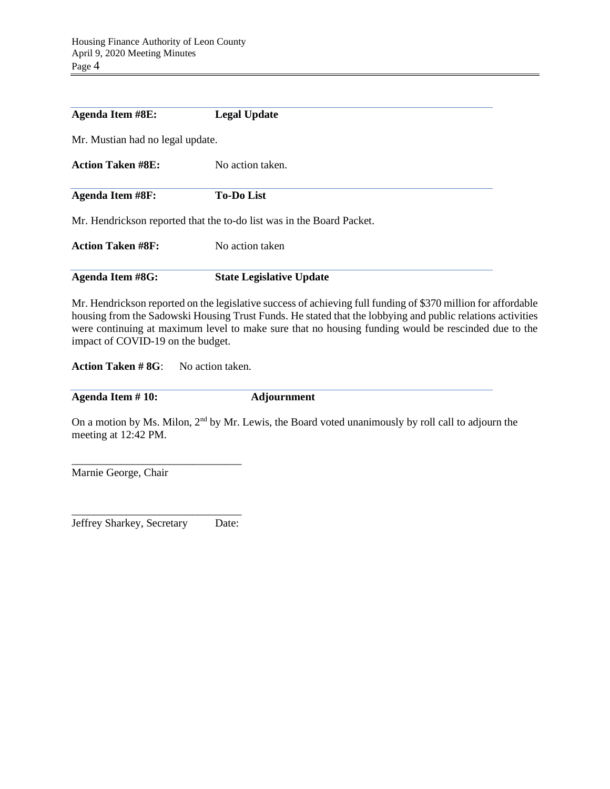| <b>Agenda Item #8E:</b>          | <b>Legal Update</b>                                                   |  |
|----------------------------------|-----------------------------------------------------------------------|--|
| Mr. Mustian had no legal update. |                                                                       |  |
| <b>Action Taken #8E:</b>         | No action taken.                                                      |  |
| <b>Agenda Item #8F:</b>          | <b>To-Do List</b>                                                     |  |
|                                  | Mr. Hendrickson reported that the to-do list was in the Board Packet. |  |
| <b>Action Taken #8F:</b>         | No action taken                                                       |  |
| <b>Agenda Item #8G:</b>          | <b>State Legislative Update</b>                                       |  |

Mr. Hendrickson reported on the legislative success of achieving full funding of \$370 million for affordable housing from the Sadowski Housing Trust Funds. He stated that the lobbying and public relations activities were continuing at maximum level to make sure that no housing funding would be rescinded due to the impact of COVID-19 on the budget.

**Action Taken # 8G**: No action taken.

**Agenda Item # 10: Adjournment**

On a motion by Ms. Milon, 2<sup>nd</sup> by Mr. Lewis, the Board voted unanimously by roll call to adjourn the meeting at 12:42 PM.

\_\_\_\_\_\_\_\_\_\_\_\_\_\_\_\_\_\_\_\_\_\_\_\_\_\_\_\_\_\_\_ Marnie George, Chair

\_\_\_\_\_\_\_\_\_\_\_\_\_\_\_\_\_\_\_\_\_\_\_\_\_\_\_\_\_\_\_ Jeffrey Sharkey, Secretary Date: